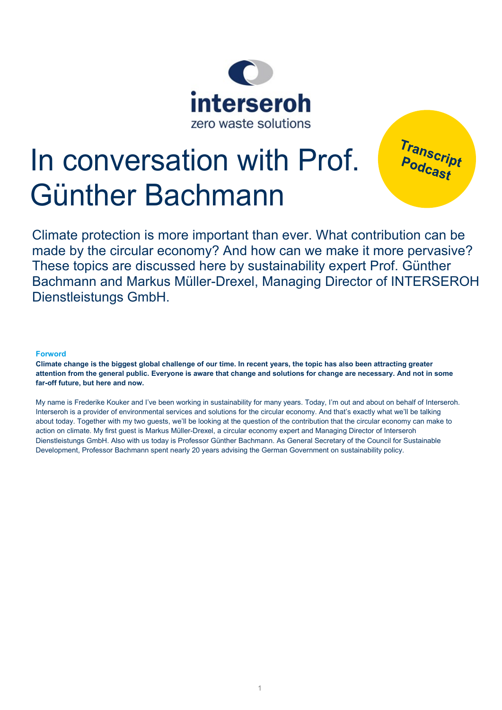

# In conversation with Prof. Günther Bachmann

Transcript<br>Podcast

Climate protection is more important than ever. What contribution can be made by the circular economy? And how can we make it more pervasive? These topics are discussed here by sustainability expert Prof. Günther Bachmann and Markus Müller-Drexel, Managing Director of INTERSEROH Dienstleistungs GmbH.

# **Forword**

**Climate change is the biggest global challenge of our time. In recent years, the topic has also been attracting greater attention from the general public. Everyone is aware that change and solutions for change are necessary. And not in some far-off future, but here and now.**

My name is Frederike Kouker and I've been working in sustainability for many years. Today, I'm out and about on behalf of Interseroh. Interseroh is a provider of environmental services and solutions for the circular economy. And that's exactly what we'll be talking about today. Together with my two guests, we'll be looking at the question of the contribution that the circular economy can make to action on climate. My first guest is Markus Müller-Drexel, a circular economy expert and Managing Director of Interseroh Dienstleistungs GmbH. Also with us today is Professor Günther Bachmann. As General Secretary of the Council for Sustainable Development, Professor Bachmann spent nearly 20 years advising the German Government on sustainability policy.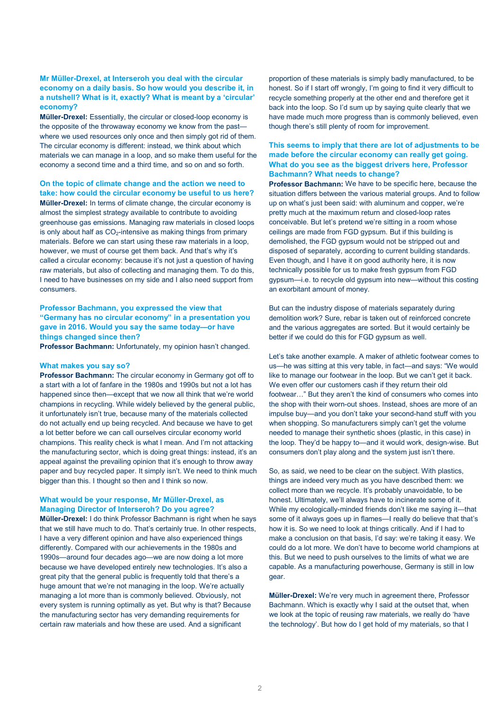# **Mr Müller-Drexel, at Interseroh you deal with the circular economy on a daily basis. So how would you describe it, in a nutshell? What is it, exactly? What is meant by a 'circular' economy?**

**Müller-Drexel:** Essentially, the circular or closed-loop economy is the opposite of the throwaway economy we know from the past where we used resources only once and then simply got rid of them. The circular economy is different: instead, we think about which materials we can manage in a loop, and so make them useful for the economy a second time and a third time, and so on and so forth.

#### **On the topic of climate change and the action we need to take: how could the circular economy be useful to us here?**

**Müller-Drexel:** In terms of climate change, the circular economy is almost the simplest strategy available to contribute to avoiding greenhouse gas emissions. Managing raw materials in closed loops is only about half as  $CO<sub>2</sub>$ -intensive as making things from primary materials. Before we can start using these raw materials in a loop, however, we must of course get them back. And that's why it's called a circular economy: because it's not just a question of having raw materials, but also of collecting and managing them. To do this, I need to have businesses on my side and I also need support from consumers.

# **Professor Bachmann, you expressed the view that "Germany has no circular economy" in a presentation you gave in 2016. Would you say the same today—or have things changed since then?**

**Professor Bachmann:** Unfortunately, my opinion hasn't changed.

#### **What makes you say so?**

**Professor Bachmann:** The circular economy in Germany got off to a start with a lot of fanfare in the 1980s and 1990s but not a lot has happened since then—except that we now all think that we're world champions in recycling. While widely believed by the general public, it unfortunately isn't true, because many of the materials collected do not actually end up being recycled. And because we have to get a lot better before we can call ourselves circular economy world champions. This reality check is what I mean. And I'm not attacking the manufacturing sector, which is doing great things: instead, it's an appeal against the prevailing opinion that it's enough to throw away paper and buy recycled paper. It simply isn't. We need to think much bigger than this. I thought so then and I think so now.

### **What would be your response, Mr Müller-Drexel, as Managing Director of Interseroh? Do you agree?**

**Müller-Drexel:** I do think Professor Bachmann is right when he says that we still have much to do. That's certainly true. In other respects, I have a very different opinion and have also experienced things differently. Compared with our achievements in the 1980s and 1990s—around four decades ago—we are now doing a lot more because we have developed entirely new technologies. It's also a great pity that the general public is frequently told that there's a huge amount that we're not managing in the loop. We're actually managing a lot more than is commonly believed. Obviously, not every system is running optimally as yet. But why is that? Because the manufacturing sector has very demanding requirements for certain raw materials and how these are used. And a significant

proportion of these materials is simply badly manufactured, to be honest. So if I start off wrongly, I'm going to find it very difficult to recycle something properly at the other end and therefore get it back into the loop. So I'd sum up by saying quite clearly that we have made much more progress than is commonly believed, even though there's still plenty of room for improvement.

# **This seems to imply that there are lot of adjustments to be made before the circular economy can really get going. What do you see as the biggest drivers here, Professor Bachmann? What needs to change?**

**Professor Bachmann:** We have to be specific here, because the situation differs between the various material groups. And to follow up on what's just been said: with aluminum and copper, we're pretty much at the maximum return and closed-loop rates conceivable. But let's pretend we're sitting in a room whose ceilings are made from FGD gypsum. But if this building is demolished, the FGD gypsum would not be stripped out and disposed of separately, according to current building standards. Even though, and I have it on good authority here, it is now technically possible for us to make fresh gypsum from FGD gypsum—i.e. to recycle old gypsum into new—without this costing an exorbitant amount of money.

But can the industry dispose of materials separately during demolition work? Sure, rebar is taken out of reinforced concrete and the various aggregates are sorted. But it would certainly be better if we could do this for FGD gypsum as well.

Let's take another example. A maker of athletic footwear comes to us—he was sitting at this very table, in fact—and says: "We would like to manage our footwear in the loop. But we can't get it back. We even offer our customers cash if they return their old footwear…" But they aren't the kind of consumers who comes into the shop with their worn-out shoes. Instead, shoes are more of an impulse buy—and you don't take your second-hand stuff with you when shopping. So manufacturers simply can't get the volume needed to manage their synthetic shoes (plastic, in this case) in the loop. They'd be happy to—and it would work, design-wise. But consumers don't play along and the system just isn't there.

So, as said, we need to be clear on the subject. With plastics, things are indeed very much as you have described them: we collect more than we recycle. It's probably unavoidable, to be honest. Ultimately, we'll always have to incinerate some of it. While my ecologically-minded friends don't like me saying it—that some of it always goes up in flames—I really do believe that that's how it is. So we need to look at things critically. And if I had to make a conclusion on that basis, I'd say: we're taking it easy. We could do a lot more. We don't have to become world champions at this. But we need to push ourselves to the limits of what we are capable. As a manufacturing powerhouse, Germany is still in low gear.

**Müller-Drexel:** We're very much in agreement there, Professor Bachmann. Which is exactly why I said at the outset that, when we look at the topic of reusing raw materials, we really do 'have the technology'. But how do I get hold of my materials, so that I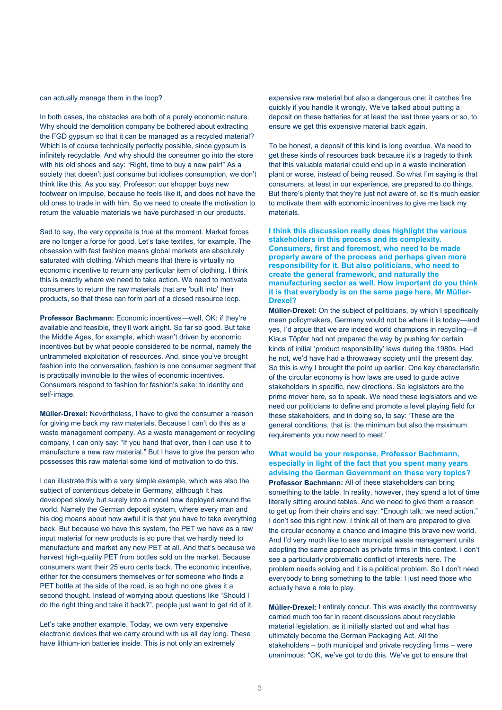#### can actually manage them in the loop?

In both cases, the obstacles are both of a purely economic nature. Why should the demolition company be bothered about extracting the FGD gypsum so that it can be managed as a recycled material? Which is of course technically perfectly possible, since gypsum is infinitely recyclable. And why should the consumer go into the store with his old shoes and say: "Right, time to buy a new pair!" As a society that doesn't just consume but idolises consumption, we don't think like this. As you say, Professor: our shopper buys new footwear on impulse, because he feels like it, and does not have the old ones to trade in with him. So we need to create the motivation to return the valuable materials we have purchased in our products.

Sad to say, the very opposite is true at the moment. Market forces are no longer a force for good. Let's take textiles, for example. The obsession with fast fashion means global markets are absolutely saturated with clothing. Which means that there is virtually no economic incentive to return any particular item of clothing. I think this is exactly where we need to take action. We need to motivate consumers to return the raw materials that are 'built into' their products, so that these can form part of a closed resource loop.

**Professor Bachmann:** Economic incentives—well, OK: if they're available and feasible, they'll work alright. So far so good. But take the Middle Ages, for example, which wasn't driven by economic incentives but by what people considered to be normal, namely the untrammeled exploitation of resources. And, since you've brought fashion into the conversation, fashion is one consumer segment that is practically invincible to the wiles of economic incentives. Consumers respond to fashion for fashion's sake: to identity and self-image.

**Müller-Drexel:** Nevertheless, I have to give the consumer a reason for giving me back my raw materials. Because I can't do this as a waste management company. As a waste management or recycling company, I can only say: "If you hand that over, then I can use it to manufacture a new raw material." But I have to give the person who possesses this raw material some kind of motivation to do this.

I can illustrate this with a very simple example, which was also the subject of contentious debate in Germany, although it has developed slowly but surely into a model now deployed around the world. Namely the German deposit system, where every man and his dog moans about how awful it is that you have to take everything back. But because we have this system, the PET we have as a raw input material for new products is so pure that we hardly need to manufacture and market any new PET at all. And that's because we harvest high-quality PET from bottles sold on the market. Because consumers want their 25 euro cents back. The economic incentive, either for the consumers themselves or for someone who finds a PET bottle at the side of the road, is so high no one gives it a second thought. Instead of worrying about questions like "Should I do the right thing and take it back?", people just want to get rid of it.

Let's take another example. Today, we own very expensive electronic devices that we carry around with us all day long. These have lithium-ion batteries inside. This is not only an extremely

expensive raw material but also a dangerous one: it catches fire quickly if you handle it wrongly. We've talked about putting a deposit on these batteries for at least the last three years or so, to ensure we get this expensive material back again.

To be honest, a deposit of this kind is long overdue. We need to get these kinds of resources back because it's a tragedy to think that this valuable material could end up in a waste incineration plant or worse, instead of being reused. So what I'm saying is that consumers, at least in our experience, are prepared to do things. But there's plenty that they're just not aware of, so it's much easier to motivate them with economic incentives to give me back my materials.

**I think this discussion really does highlight the various stakeholders in this process and its complexity. Consumers, first and foremost, who need to be made properly aware of the process and perhaps given more responsibility for it. But also politicians, who need to create the general framework, and naturally the manufacturing sector as well. How important do you think it is that everybody is on the same page here, Mr Müller-Drexel?** 

**Müller-Drexel:** On the subject of politicians, by which I specifically mean policymakers, Germany would not be where it is today—and yes, I'd argue that we are indeed world champions in recycling—if Klaus Töpfer had not prepared the way by pushing for certain kinds of initial 'product responsibility' laws during the 1980s. Had he not, we'd have had a throwaway society until the present day. So this is why I brought the point up earlier. One key characteristic of the circular economy is how laws are used to guide active stakeholders in specific, new directions. So legislators are the prime mover here, so to speak. We need these legislators and we need our politicians to define and promote a level playing field for these stakeholders, and in doing so, to say: 'These are the general conditions, that is: the minimum but also the maximum requirements you now need to meet.'

**What would be your response, Professor Bachmann, especially in light of the fact that you spent many years advising the German Government on these very topics? Professor Bachmann:** All of these stakeholders can bring something to the table. In reality, however, they spend a lot of time literally sitting around tables. And we need to give them a reason to get up from their chairs and say: "Enough talk: we need action." I don't see this right now. I think all of them are prepared to give the circular economy a chance and imagine this brave new world. And I'd very much like to see municipal waste management units adopting the same approach as private firms in this context. I don't see a particularly problematic conflict of interests here. The problem needs solving and it is a political problem. So I don't need everybody to bring something to the table: I just need those who actually have a role to play.

**Müller-Drexel:** I entirely concur. This was exactly the controversy carried much too far in recent discussions about recyclable material legislation, as it initially started out and what has ultimately become the German Packaging Act. All the stakeholders – both municipal and private recycling firms – were unanimous: "OK, we've got to do this. We've got to ensure that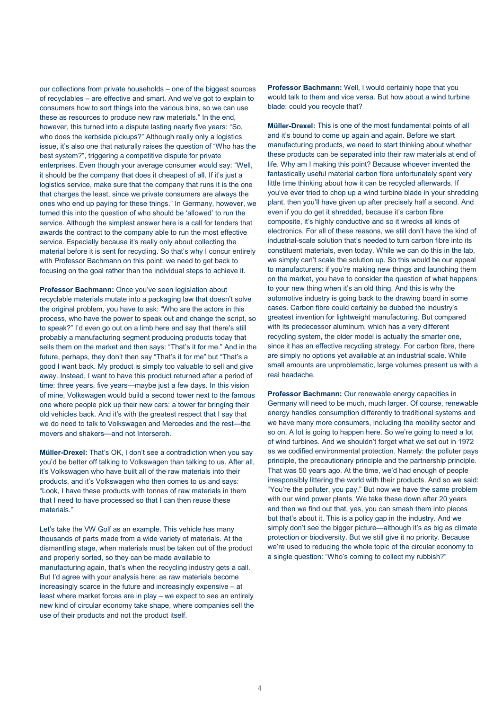our collections from private households – one of the biggest sources of recyclables – are effective and smart. And we've got to explain to consumers how to sort things into the various bins, so we can use these as resources to produce new raw materials." In the end, however, this turned into a dispute lasting nearly five years: "So, who does the kerbside pickups?" Although really only a logistics issue, it's also one that naturally raises the question of "Who has the best system?", triggering a competitive dispute for private enterprises. Even though your average consumer would say: "Well, it should be the company that does it cheapest of all. If it's just a logistics service, make sure that the company that runs it is the one that charges the least, since we private consumers are always the ones who end up paying for these things." In Germany, however, we turned this into the question of who should be 'allowed' to run the service. Although the simplest answer here is a call for tenders that awards the contract to the company able to run the most effective service. Especially because it's really only about collecting the material before it is sent for recycling. So that's why I concur entirely with Professor Bachmann on this point: we need to get back to focusing on the goal rather than the individual steps to achieve it.

**Professor Bachmann:** Once you've seen legislation about recyclable materials mutate into a packaging law that doesn't solve the original problem, you have to ask: "Who are the actors in this process, who have the power to speak out and change the script, so to speak?" I'd even go out on a limb here and say that there's still probably a manufacturing segment producing products today that sells them on the market and then says: "That's it for me." And in the future, perhaps, they don't then say "That's it for me" but "That's a good I want back. My product is simply too valuable to sell and give away. Instead, I want to have this product returned after a period of time: three years, five years—maybe just a few days. In this vision of mine, Volkswagen would build a second tower next to the famous one where people pick up their new cars: a tower for bringing their old vehicles back. And it's with the greatest respect that I say that we do need to talk to Volkswagen and Mercedes and the rest—the movers and shakers—and not Interseroh.

**Müller-Drexel:** That's OK, I don't see a contradiction when you say you'd be better off talking to Volkswagen than talking to us. After all, it's Volkswagen who have built all of the raw materials into their products, and it's Volkswagen who then comes to us and says: "Look, I have these products with tonnes of raw materials in them that I need to have processed so that I can then reuse these materials."

Let's take the VW Golf as an example. This vehicle has many thousands of parts made from a wide variety of materials. At the dismantling stage, when materials must be taken out of the product and properly sorted, so they can be made available to manufacturing again, that's when the recycling industry gets a call. But I'd agree with your analysis here: as raw materials become increasingly scarce in the future and increasingly expensive – at least where market forces are in play – we expect to see an entirely new kind of circular economy take shape, where companies sell the use of their products and not the product itself.

**Professor Bachmann:** Well, I would certainly hope that you would talk to them and vice versa. But how about a wind turbine blade: could you recycle that?

**Müller-Drexel:** This is one of the most fundamental points of all and it's bound to come up again and again. Before we start manufacturing products, we need to start thinking about whether these products can be separated into their raw materials at end of life. Why am I making this point? Because whoever invented the fantastically useful material carbon fibre unfortunately spent very little time thinking about how it can be recycled afterwards. If you've ever tried to chop up a wind turbine blade in your shredding plant, then you'll have given up after precisely half a second. And even if you do get it shredded, because it's carbon fibre composite, it's highly conductive and so it wrecks all kinds of electronics. For all of these reasons, we still don't have the kind of industrial-scale solution that's needed to turn carbon fibre into its constituent materials, even today. While we can do this in the lab, we simply can't scale the solution up. So this would be our appeal to manufacturers: if you're making new things and launching them on the market, you have to consider the question of what happens to your new thing when it's an old thing. And this is why the automotive industry is going back to the drawing board in some cases. Carbon fibre could certainly be dubbed the industry's greatest invention for lightweight manufacturing. But compared with its predecessor aluminum, which has a very different recycling system, the older model is actually the smarter one, since it has an effective recycling strategy. For carbon fibre, there are simply no options yet available at an industrial scale. While small amounts are unproblematic, large volumes present us with a real headache.

**Professor Bachmann:** Our renewable energy capacities in Germany will need to be much, much larger. Of course, renewable energy handles consumption differently to traditional systems and we have many more consumers, including the mobility sector and so on. A lot is going to happen here. So we're going to need a lot of wind turbines. And we shouldn't forget what we set out in 1972 as we codified environmental protection. Namely: the polluter pays principle, the precautionary principle and the partnership principle. That was 50 years ago. At the time, we'd had enough of people irresponsibly littering the world with their products. And so we said: "You're the polluter, you pay." But now we have the same problem with our wind power plants. We take these down after 20 years and then we find out that, yes, you can smash them into pieces but that's about it. This is a policy gap in the industry. And we simply don't see the bigger picture—although it's as big as climate protection or biodiversity. But we still give it no priority. Because we're used to reducing the whole topic of the circular economy to a single question: "Who's coming to collect my rubbish?"